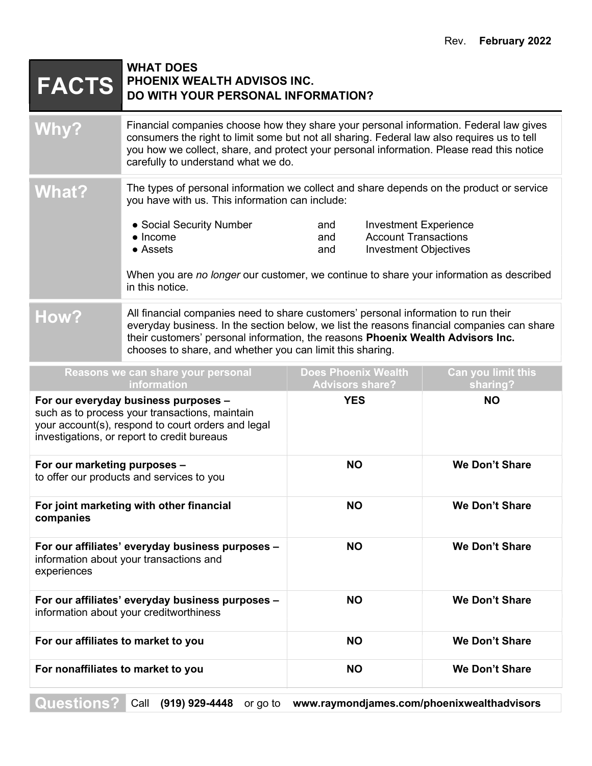| <b>FACTS</b>                                                                                                                                                                                | <b>WHAT DOES</b><br>PHOENIX WEALTH ADVISOS INC.<br>DO WITH YOUR PERSONAL INFORMATION?                                                                                                                                                                                                                                            |                                                                                                                  |                                |
|---------------------------------------------------------------------------------------------------------------------------------------------------------------------------------------------|----------------------------------------------------------------------------------------------------------------------------------------------------------------------------------------------------------------------------------------------------------------------------------------------------------------------------------|------------------------------------------------------------------------------------------------------------------|--------------------------------|
| <b>Why?</b>                                                                                                                                                                                 | Financial companies choose how they share your personal information. Federal law gives<br>consumers the right to limit some but not all sharing. Federal law also requires us to tell<br>you how we collect, share, and protect your personal information. Please read this notice<br>carefully to understand what we do.        |                                                                                                                  |                                |
| <b>What?</b>                                                                                                                                                                                | The types of personal information we collect and share depends on the product or service<br>you have with us. This information can include:                                                                                                                                                                                      |                                                                                                                  |                                |
|                                                                                                                                                                                             | • Social Security Number<br>$\bullet$ Income<br>• Assets<br>When you are no longer our customer, we continue to share your information as described<br>in this notice.                                                                                                                                                           | <b>Investment Experience</b><br>and<br><b>Account Transactions</b><br>and<br><b>Investment Objectives</b><br>and |                                |
| How?                                                                                                                                                                                        | All financial companies need to share customers' personal information to run their<br>everyday business. In the section below, we list the reasons financial companies can share<br>their customers' personal information, the reasons Phoenix Wealth Advisors Inc.<br>chooses to share, and whether you can limit this sharing. |                                                                                                                  |                                |
|                                                                                                                                                                                             | Reasons we can share your personal<br>information                                                                                                                                                                                                                                                                                | <b>Does Phoenix Wealth</b><br><b>Advisors share?</b>                                                             | Can you limit this<br>sharing? |
| For our everyday business purposes -<br>such as to process your transactions, maintain<br>your account(s), respond to court orders and legal<br>investigations, or report to credit bureaus |                                                                                                                                                                                                                                                                                                                                  | <b>YES</b>                                                                                                       | <b>NO</b>                      |
| For our marketing purposes -<br>to offer our products and services to you                                                                                                                   |                                                                                                                                                                                                                                                                                                                                  | <b>NO</b>                                                                                                        | <b>We Don't Share</b>          |
| For joint marketing with other financial<br>companies                                                                                                                                       |                                                                                                                                                                                                                                                                                                                                  | <b>NO</b>                                                                                                        | <b>We Don't Share</b>          |
| For our affiliates' everyday business purposes -<br>information about your transactions and<br>experiences                                                                                  |                                                                                                                                                                                                                                                                                                                                  | <b>NO</b>                                                                                                        | We Don't Share                 |
| For our affiliates' everyday business purposes -<br>information about your creditworthiness                                                                                                 |                                                                                                                                                                                                                                                                                                                                  | <b>NO</b>                                                                                                        | <b>We Don't Share</b>          |
| For our affiliates to market to you                                                                                                                                                         |                                                                                                                                                                                                                                                                                                                                  | <b>NO</b>                                                                                                        | <b>We Don't Share</b>          |
| For nonaffiliates to market to you                                                                                                                                                          |                                                                                                                                                                                                                                                                                                                                  | <b>NO</b>                                                                                                        | We Don't Share                 |
| Questions?<br>(919) 929-4448<br>Call<br>www.raymondjames.com/phoenixwealthadvisors<br>or go to                                                                                              |                                                                                                                                                                                                                                                                                                                                  |                                                                                                                  |                                |